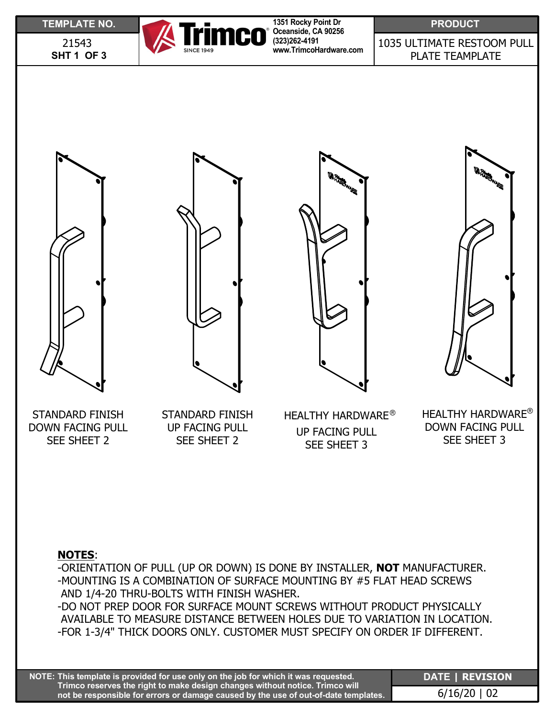**SHT 1 OF 3** 21543



**1351 Rocky Point Dr Oceanside, CA 90256 (323)262-4191 www.TrimcoHardware.com**

1035 ULTIMATE RESTOOM PULL PLATE TEAMPLATE









STANDARD FINISH DOWN FACING PULL SEE SHEET 2

STANDARD FINISH UP FACING PULL SEE SHEET 2

HEALTHY HARDWARE<sup>®</sup> UP FACING PULL SEE SHEET 3

 $^\circ$  HEALTHY HARDWARE $^\circ$ DOWN FACING PULL SEE SHEET 3

## **NOTES**:

-ORIENTATION OF PULL (UP OR DOWN) IS DONE BY INSTALLER, **NOT** MANUFACTURER. -MOUNTING IS A COMBINATION OF SURFACE MOUNTING BY #5 FLAT HEAD SCREWS AND 1/4-20 THRU-BOLTS WITH FINISH WASHER. -DO NOT PREP DOOR FOR SURFACE MOUNT SCREWS WITHOUT PRODUCT PHYSICALLY

AVAILABLE TO MEASURE DISTANCE BETWEEN HOLES DUE TO VARIATION IN LOCATION. -FOR 1-3/4" THICK DOORS ONLY. CUSTOMER MUST SPECIFY ON ORDER IF DIFFERENT.

**This template is provided for use only on the job for which it was requested. NOTE: Trimco reserves the right to make design changes without notice. Trimco will not be responsible for errors or damage caused by the use of out-of-date templates.** **DATE | REVISION** 6/16/20 | 02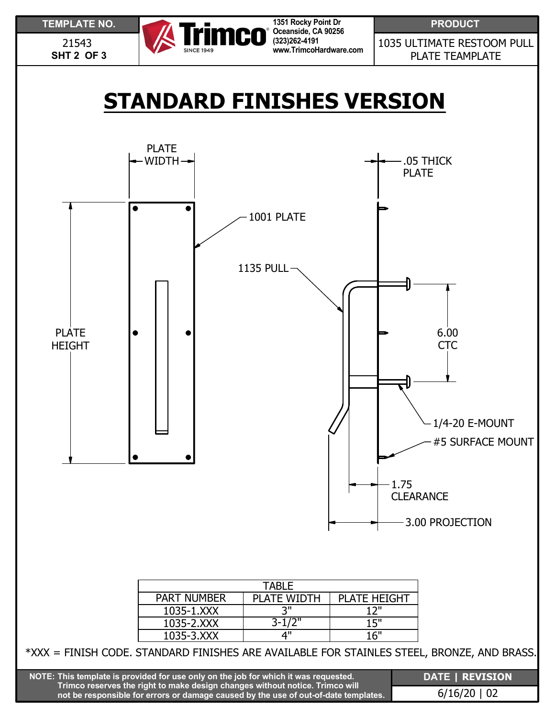

| TARI F             |                    |                     |  |
|--------------------|--------------------|---------------------|--|
| <b>PART NUMBER</b> | <b>PLATE WIDTH</b> | <b>PLATE HEIGHT</b> |  |
| 1035-1.XXX         | ייפ                | 17"                 |  |
| 1035-2.XXX         | $3 - 1/2"$         | 15"                 |  |
| 1035-3.XXX         | ⊿"                 | 16"                 |  |

3.00 PROJECTION

\*XXX = FINISH CODE. STANDARD FINISHES ARE AVAILABLE FOR STAINLES STEEL, BRONZE, AND BRASS.

| $\overline{f}$ NOTE: This template is provided for use only on the job for which it was requested. $f$                                                              | <b>DATE   REVISION</b> |
|---------------------------------------------------------------------------------------------------------------------------------------------------------------------|------------------------|
| Trimco reserves the right to make design changes without notice. Trimco will<br>not be responsible for errors or damage caused by the use of out-of-date templates. | $6/16/20$   02         |